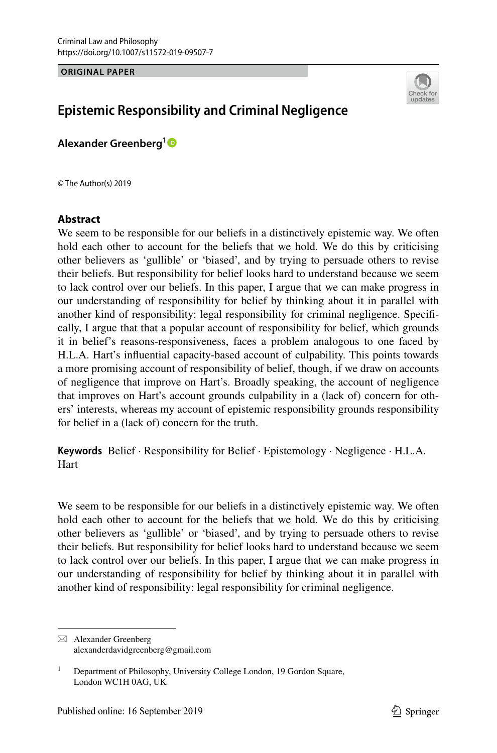**ORIGINAL PAPER**



# **Epistemic Responsibility and Criminal Negligence**

**Alexander Greenberg[1](http://orcid.org/0000-0002-2501-878X)**

© The Author(s) 2019

#### **Abstract**

We seem to be responsible for our beliefs in a distinctively epistemic way. We often hold each other to account for the beliefs that we hold. We do this by criticising other believers as 'gullible' or 'biased', and by trying to persuade others to revise their beliefs. But responsibility for belief looks hard to understand because we seem to lack control over our beliefs. In this paper, I argue that we can make progress in our understanding of responsibility for belief by thinking about it in parallel with another kind of responsibility: legal responsibility for criminal negligence. Specifcally, I argue that that a popular account of responsibility for belief, which grounds it in belief's reasons-responsiveness, faces a problem analogous to one faced by H.L.A. Hart's infuential capacity-based account of culpability. This points towards a more promising account of responsibility of belief, though, if we draw on accounts of negligence that improve on Hart's. Broadly speaking, the account of negligence that improves on Hart's account grounds culpability in a (lack of) concern for others' interests, whereas my account of epistemic responsibility grounds responsibility for belief in a (lack of) concern for the truth.

**Keywords** Belief · Responsibility for Belief · Epistemology · Negligence · H.L.A. Hart

We seem to be responsible for our beliefs in a distinctively epistemic way. We often hold each other to account for the beliefs that we hold. We do this by criticising other believers as 'gullible' or 'biased', and by trying to persuade others to revise their beliefs. But responsibility for belief looks hard to understand because we seem to lack control over our beliefs. In this paper, I argue that we can make progress in our understanding of responsibility for belief by thinking about it in parallel with another kind of responsibility: legal responsibility for criminal negligence.

 $\boxtimes$  Alexander Greenberg alexanderdavidgreenberg@gmail.com

<sup>&</sup>lt;sup>1</sup> Department of Philosophy, University College London, 19 Gordon Square, London WC1H 0AG, UK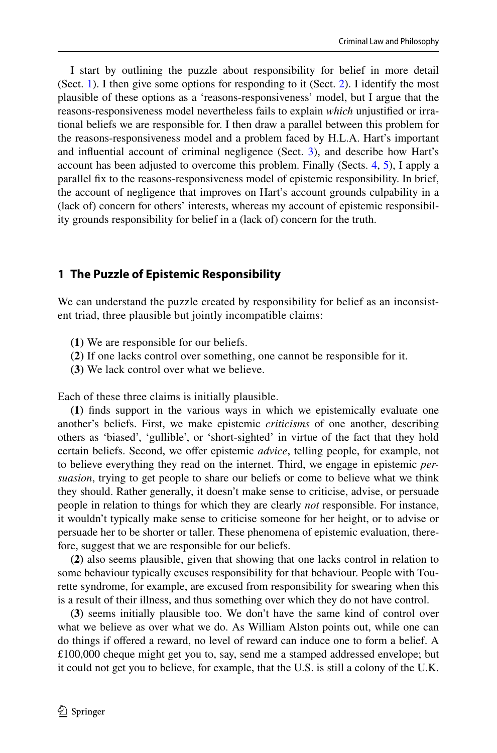I start by outlining the puzzle about responsibility for belief in more detail (Sect. [1\)](#page-1-0). I then give some options for responding to it (Sect. [2\)](#page-2-0). I identify the most plausible of these options as a 'reasons-responsiveness' model, but I argue that the reasons-responsiveness model nevertheless fails to explain *which* unjustifed or irrational beliefs we are responsible for. I then draw a parallel between this problem for the reasons-responsiveness model and a problem faced by H.L.A. Hart's important and infuential account of criminal negligence (Sect. [3\)](#page-6-0), and describe how Hart's account has been adjusted to overcome this problem. Finally (Sects. [4,](#page-15-0) [5](#page-17-0)), I apply a parallel fx to the reasons-responsiveness model of epistemic responsibility. In brief, the account of negligence that improves on Hart's account grounds culpability in a (lack of) concern for others' interests, whereas my account of epistemic responsibility grounds responsibility for belief in a (lack of) concern for the truth.

#### <span id="page-1-0"></span>**1 The Puzzle of Epistemic Responsibility**

We can understand the puzzle created by responsibility for belief as an inconsistent triad, three plausible but jointly incompatible claims:

- **(1)** We are responsible for our beliefs.
- **(2)** If one lacks control over something, one cannot be responsible for it.
- **(3)** We lack control over what we believe.

Each of these three claims is initially plausible.

**(1)** fnds support in the various ways in which we epistemically evaluate one another's beliefs. First, we make epistemic *criticisms* of one another, describing others as 'biased', 'gullible', or 'short-sighted' in virtue of the fact that they hold certain beliefs. Second, we offer epistemic *advice*, telling people, for example, not to believe everything they read on the internet. Third, we engage in epistemic *persuasion*, trying to get people to share our beliefs or come to believe what we think they should. Rather generally, it doesn't make sense to criticise, advise, or persuade people in relation to things for which they are clearly *not* responsible. For instance, it wouldn't typically make sense to criticise someone for her height, or to advise or persuade her to be shorter or taller. These phenomena of epistemic evaluation, therefore, suggest that we are responsible for our beliefs.

**(2)** also seems plausible, given that showing that one lacks control in relation to some behaviour typically excuses responsibility for that behaviour. People with Tourette syndrome, for example, are excused from responsibility for swearing when this is a result of their illness, and thus something over which they do not have control.

**(3)** seems initially plausible too. We don't have the same kind of control over what we believe as over what we do. As William Alston points out, while one can do things if ofered a reward, no level of reward can induce one to form a belief. A £100,000 cheque might get you to, say, send me a stamped addressed envelope; but it could not get you to believe, for example, that the U.S. is still a colony of the U.K.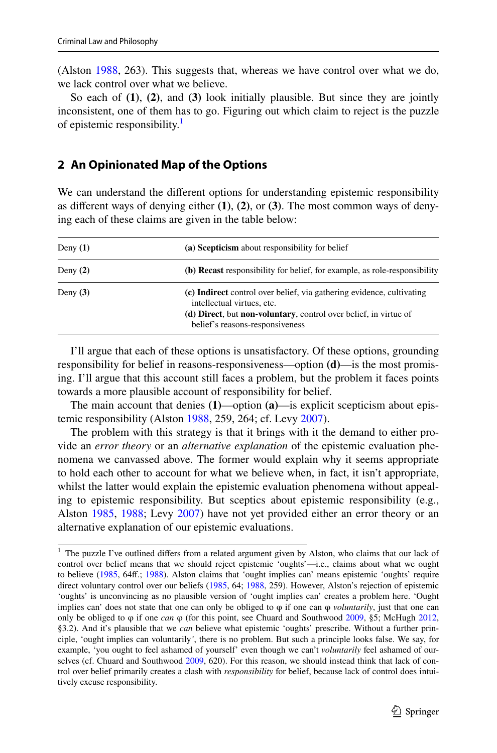(Alston [1988](#page-19-0), 263). This suggests that, whereas we have control over what we do, we lack control over what we believe.

So each of **(1)**, **(2)**, and **(3)** look initially plausible. But since they are jointly inconsistent, one of them has to go. Figuring out which claim to reject is the puzzle of epistemic responsibility.<sup>[1](#page-2-1)</sup>

#### <span id="page-2-0"></span>**2 An Opinionated Map of the Options**

We can understand the diferent options for understanding epistemic responsibility as diferent ways of denying either **(1)**, **(2)**, or **(3)**. The most common ways of denying each of these claims are given in the table below:

| (a) Scepticism about responsibility for belief                                                      |
|-----------------------------------------------------------------------------------------------------|
| (b) Recast responsibility for belief, for example, as role-responsibility                           |
| (c) Indirect control over belief, via gathering evidence, cultivating<br>intellectual virtues, etc. |
| (d) Direct, but non-voluntary, control over belief, in virtue of<br>belief's reasons-responsiveness |
|                                                                                                     |

I'll argue that each of these options is unsatisfactory. Of these options, grounding responsibility for belief in reasons-responsiveness—option **(d)**—is the most promising. I'll argue that this account still faces a problem, but the problem it faces points towards a more plausible account of responsibility for belief.

The main account that denies **(1)**—option **(a)**—is explicit scepticism about epistemic responsibility (Alston [1988](#page-19-0), 259, 264; cf. Levy [2007\)](#page-20-0).

The problem with this strategy is that it brings with it the demand to either provide an *error theory* or an *alternative explanation* of the epistemic evaluation phenomena we canvassed above. The former would explain why it seems appropriate to hold each other to account for what we believe when, in fact, it isn't appropriate, whilst the latter would explain the epistemic evaluation phenomena without appealing to epistemic responsibility. But sceptics about epistemic responsibility (e.g., Alston [1985](#page-19-1), [1988;](#page-19-0) Levy [2007\)](#page-20-0) have not yet provided either an error theory or an alternative explanation of our epistemic evaluations.

<span id="page-2-1"></span><sup>&</sup>lt;sup>1</sup> The puzzle I've outlined differs from a related argument given by Alston, who claims that our lack of control over belief means that we should reject epistemic 'oughts'—i.e., claims about what we ought to believe [\(1985](#page-19-1), 64f.; [1988\)](#page-19-0). Alston claims that 'ought implies can' means epistemic 'oughts' require direct voluntary control over our beliefs ([1985,](#page-19-1) 64; [1988,](#page-19-0) 259). However, Alston's rejection of epistemic 'oughts' is unconvincing as no plausible version of 'ought implies can' creates a problem here. 'Ought implies can' does not state that one can only be obliged to φ if one can φ *voluntarily*, just that one can only be obliged to φ if one *can* φ (for this point, see Chuard and Southwood [2009,](#page-19-2) §5; McHugh [2012](#page-20-1), §3.2). And it's plausible that we *can* believe what epistemic 'oughts' prescribe. Without a further principle, 'ought implies can voluntarily*'*, there is no problem. But such a principle looks false. We say, for example, 'you ought to feel ashamed of yourself' even though we can't *voluntarily* feel ashamed of ourselves (cf. Chuard and Southwood [2009](#page-19-2), 620). For this reason, we should instead think that lack of control over belief primarily creates a clash with *responsibility* for belief, because lack of control does intuitively excuse responsibility.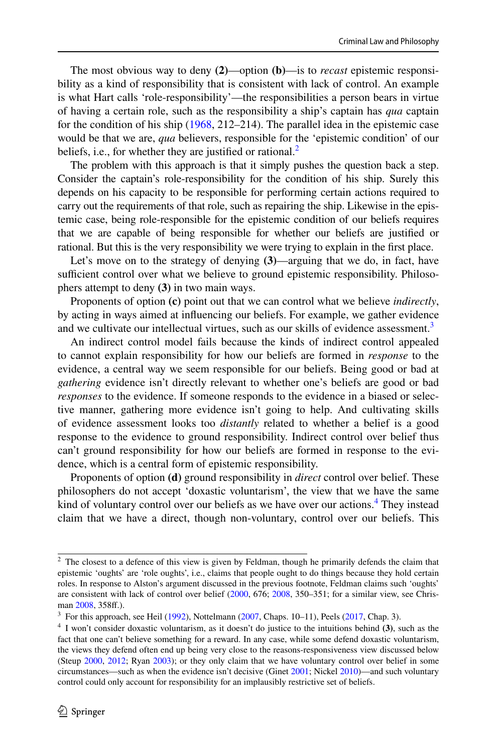The most obvious way to deny **(2)**—option **(b)**—is to *recast* epistemic responsibility as a kind of responsibility that is consistent with lack of control. An example is what Hart calls 'role-responsibility'—the responsibilities a person bears in virtue of having a certain role, such as the responsibility a ship's captain has *qua* captain for the condition of his ship [\(1968](#page-19-3), 212–214). The parallel idea in the epistemic case would be that we are, *qua* believers, responsible for the 'epistemic condition' of our beliefs, i.e., for whether they are justified or rational. $<sup>2</sup>$  $<sup>2</sup>$  $<sup>2</sup>$ </sup>

The problem with this approach is that it simply pushes the question back a step. Consider the captain's role-responsibility for the condition of his ship. Surely this depends on his capacity to be responsible for performing certain actions required to carry out the requirements of that role, such as repairing the ship. Likewise in the epistemic case, being role-responsible for the epistemic condition of our beliefs requires that we are capable of being responsible for whether our beliefs are justifed or rational. But this is the very responsibility we were trying to explain in the frst place.

Let's move on to the strategy of denying **(3)**—arguing that we do, in fact, have sufficient control over what we believe to ground epistemic responsibility. Philosophers attempt to deny **(3)** in two main ways.

Proponents of option **(c)** point out that we can control what we believe *indirectly*, by acting in ways aimed at infuencing our beliefs. For example, we gather evidence and we cultivate our intellectual virtues, such as our skills of evidence assessment.<sup>[3](#page-3-1)</sup>

An indirect control model fails because the kinds of indirect control appealed to cannot explain responsibility for how our beliefs are formed in *response* to the evidence, a central way we seem responsible for our beliefs. Being good or bad at *gathering* evidence isn't directly relevant to whether one's beliefs are good or bad *responses* to the evidence. If someone responds to the evidence in a biased or selective manner, gathering more evidence isn't going to help. And cultivating skills of evidence assessment looks too *distantly* related to whether a belief is a good response to the evidence to ground responsibility. Indirect control over belief thus can't ground responsibility for how our beliefs are formed in response to the evidence, which is a central form of epistemic responsibility.

Proponents of option **(d)** ground responsibility in *direct* control over belief. These philosophers do not accept 'doxastic voluntarism', the view that we have the same kind of voluntary control over our beliefs as we have over our actions.<sup>[4](#page-3-2)</sup> They instead claim that we have a direct, though non-voluntary, control over our beliefs. This

<span id="page-3-0"></span> $2$  The closest to a defence of this view is given by Feldman, though he primarily defends the claim that epistemic 'oughts' are 'role oughts', i.e., claims that people ought to do things because they hold certain roles. In response to Alston's argument discussed in the previous footnote, Feldman claims such 'oughts' are consistent with lack of control over belief ([2000,](#page-19-6) 676; [2008,](#page-19-7) 350–351; for a similar view, see Chris-man [2008,](#page-19-8) 358ff.).

<span id="page-3-1"></span> $3$  For this approach, see Heil [\(1992](#page-19-4)), Nottelmann [\(2007](#page-20-2), Chaps. 10-11), Peels [\(2017](#page-20-3), Chap. 3).

<span id="page-3-2"></span><sup>4</sup> I won't consider doxastic voluntarism, as it doesn't do justice to the intuitions behind **(3)**, such as the fact that one can't believe something for a reward. In any case, while some defend doxastic voluntarism, the views they defend often end up being very close to the reasons-responsiveness view discussed below (Steup [2000,](#page-20-4) [2012](#page-20-5); Ryan [2003](#page-20-6)); or they only claim that we have voluntary control over belief in some circumstances—such as when the evidence isn't decisive (Ginet [2001](#page-19-5); Nickel [2010\)](#page-20-7)—and such voluntary control could only account for responsibility for an implausibly restrictive set of beliefs.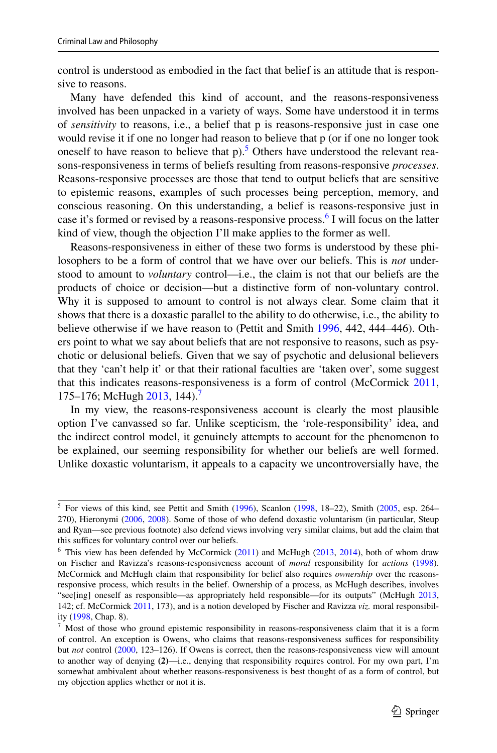control is understood as embodied in the fact that belief is an attitude that is responsive to reasons.

Many have defended this kind of account, and the reasons-responsiveness involved has been unpacked in a variety of ways. Some have understood it in terms of *sensitivity* to reasons, i.e., a belief that p is reasons-responsive just in case one would revise it if one no longer had reason to believe that p (or if one no longer took oneself to have reason to believe that  $p$ ).<sup>[5](#page-4-0)</sup> Others have understood the relevant reasons-responsiveness in terms of beliefs resulting from reasons-responsive *processes*. Reasons-responsive processes are those that tend to output beliefs that are sensitive to epistemic reasons, examples of such processes being perception, memory, and conscious reasoning. On this understanding, a belief is reasons-responsive just in case it's formed or revised by a reasons-responsive process.<sup>6</sup> I will focus on the latter kind of view, though the objection I'll make applies to the former as well.

Reasons-responsiveness in either of these two forms is understood by these philosophers to be a form of control that we have over our beliefs. This is *not* understood to amount to *voluntary* control—i.e., the claim is not that our beliefs are the products of choice or decision—but a distinctive form of non-voluntary control. Why it is supposed to amount to control is not always clear. Some claim that it shows that there is a doxastic parallel to the ability to do otherwise, i.e., the ability to believe otherwise if we have reason to (Pettit and Smith [1996](#page-20-8), 442, 444–446). Others point to what we say about beliefs that are not responsive to reasons, such as psychotic or delusional beliefs. Given that we say of psychotic and delusional believers that they 'can't help it' or that their rational faculties are 'taken over', some suggest that this indicates reasons-responsiveness is a form of control (McCormick [2011,](#page-20-9) 175–176; McHugh [2013](#page-20-10), 144).

In my view, the reasons-responsiveness account is clearly the most plausible option I've canvassed so far. Unlike scepticism, the 'role-responsibility' idea, and the indirect control model, it genuinely attempts to account for the phenomenon to be explained, our seeming responsibility for whether our beliefs are well formed. Unlike doxastic voluntarism, it appeals to a capacity we uncontroversially have, the

<span id="page-4-0"></span> $<sup>5</sup>$  For views of this kind, see Pettit and Smith ([1996\)](#page-20-8), Scanlon ([1998,](#page-20-11) 18–22), Smith ([2005,](#page-20-12) esp. 264–</sup> 270), Hieronymi [\(2006](#page-19-9), [2008\)](#page-20-13). Some of those of who defend doxastic voluntarism (in particular, Steup and Ryan—see previous footnote) also defend views involving very similar claims, but add the claim that this suffices for voluntary control over our beliefs.

<span id="page-4-1"></span> $6$  This view has been defended by McCormick [\(2011](#page-20-9)) and McHugh ([2013,](#page-20-10) [2014](#page-20-14)), both of whom draw on Fischer and Ravizza's reasons-responsiveness account of *moral* responsibility for *actions* ([1998\)](#page-19-10). McCormick and McHugh claim that responsibility for belief also requires *ownership* over the reasonsresponsive process, which results in the belief. Ownership of a process, as McHugh describes, involves "see[ing] oneself as responsible—as appropriately held responsible—for its outputs" (McHugh [2013](#page-20-10), 142; cf. McCormick [2011](#page-20-9), 173), and is a notion developed by Fischer and Ravizza *viz.* moral responsibility [\(1998](#page-19-10), Chap. 8).

<span id="page-4-2"></span><sup>7</sup> Most of those who ground epistemic responsibility in reasons-responsiveness claim that it is a form of control. An exception is Owens, who claims that reasons-responsiveness suffices for responsibility but *not* control ([2000,](#page-20-15) 123–126). If Owens is correct, then the reasons-responsiveness view will amount to another way of denying  $(2)$ —i.e., denying that responsibility requires control. For my own part, I'm somewhat ambivalent about whether reasons-responsiveness is best thought of as a form of control, but my objection applies whether or not it is.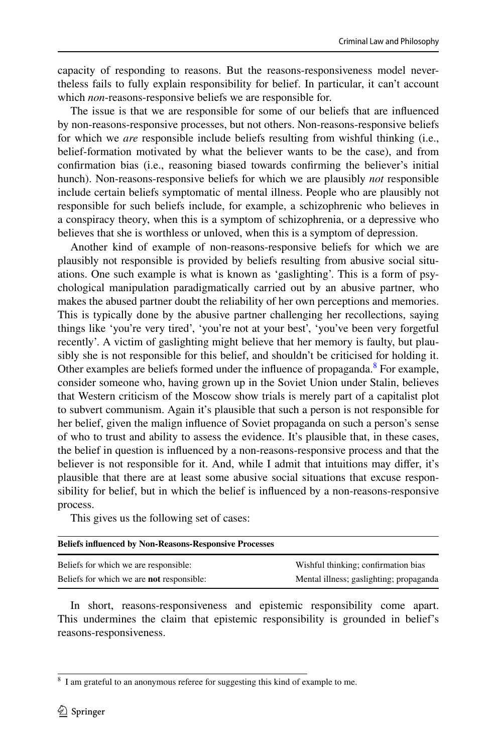capacity of responding to reasons. But the reasons-responsiveness model nevertheless fails to fully explain responsibility for belief. In particular, it can't account which *non*-reasons-responsive beliefs we are responsible for.

The issue is that we are responsible for some of our beliefs that are infuenced by non-reasons-responsive processes, but not others. Non-reasons-responsive beliefs for which we *are* responsible include beliefs resulting from wishful thinking (i.e., belief-formation motivated by what the believer wants to be the case), and from confrmation bias (i.e., reasoning biased towards confrming the believer's initial hunch). Non-reasons-responsive beliefs for which we are plausibly *not* responsible include certain beliefs symptomatic of mental illness. People who are plausibly not responsible for such beliefs include, for example, a schizophrenic who believes in a conspiracy theory, when this is a symptom of schizophrenia, or a depressive who believes that she is worthless or unloved, when this is a symptom of depression.

Another kind of example of non-reasons-responsive beliefs for which we are plausibly not responsible is provided by beliefs resulting from abusive social situations. One such example is what is known as 'gaslighting'. This is a form of psychological manipulation paradigmatically carried out by an abusive partner, who makes the abused partner doubt the reliability of her own perceptions and memories. This is typically done by the abusive partner challenging her recollections, saying things like 'you're very tired', 'you're not at your best', 'you've been very forgetful recently'. A victim of gaslighting might believe that her memory is faulty, but plausibly she is not responsible for this belief, and shouldn't be criticised for holding it. Other examples are beliefs formed under the influence of propaganda.<sup>[8](#page-5-0)</sup> For example, consider someone who, having grown up in the Soviet Union under Stalin, believes that Western criticism of the Moscow show trials is merely part of a capitalist plot to subvert communism. Again it's plausible that such a person is not responsible for her belief, given the malign infuence of Soviet propaganda on such a person's sense of who to trust and ability to assess the evidence. It's plausible that, in these cases, the belief in question is infuenced by a non-reasons-responsive process and that the believer is not responsible for it. And, while I admit that intuitions may difer, it's plausible that there are at least some abusive social situations that excuse responsibility for belief, but in which the belief is infuenced by a non-reasons-responsive process.

This gives us the following set of cases:

| <b>Beliefs influenced by Non-Reasons-Responsive Processes</b> |                                         |
|---------------------------------------------------------------|-----------------------------------------|
| Beliefs for which we are responsible:                         | Wishful thinking; confirmation bias     |
| Beliefs for which we are <b>not</b> responsible:              | Mental illness; gaslighting; propaganda |

In short, reasons-responsiveness and epistemic responsibility come apart. This undermines the claim that epistemic responsibility is grounded in belief's reasons-responsiveness.

<span id="page-5-0"></span><sup>&</sup>lt;sup>8</sup> I am grateful to an anonymous referee for suggesting this kind of example to me.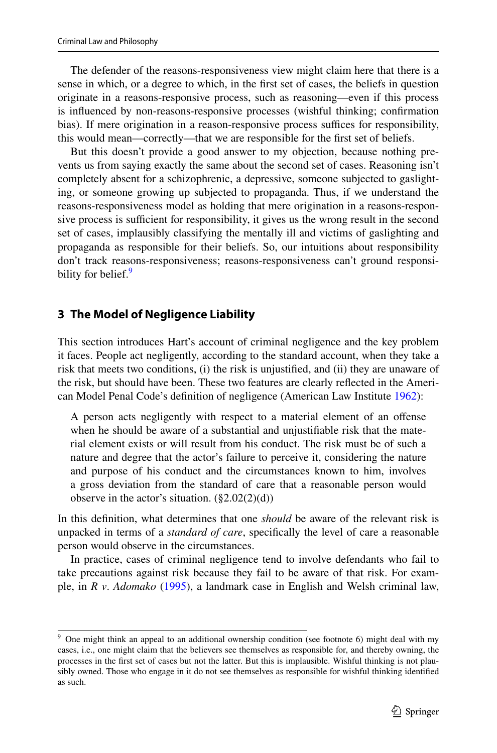The defender of the reasons-responsiveness view might claim here that there is a sense in which, or a degree to which, in the frst set of cases, the beliefs in question originate in a reasons-responsive process, such as reasoning—even if this process is infuenced by non-reasons-responsive processes (wishful thinking; confrmation bias). If mere origination in a reason-responsive process suffices for responsibility, this would mean—correctly—that we are responsible for the frst set of beliefs.

But this doesn't provide a good answer to my objection, because nothing prevents us from saying exactly the same about the second set of cases. Reasoning isn't completely absent for a schizophrenic, a depressive, someone subjected to gaslighting, or someone growing up subjected to propaganda. Thus, if we understand the reasons-responsiveness model as holding that mere origination in a reasons-responsive process is sufficient for responsibility, it gives us the wrong result in the second set of cases, implausibly classifying the mentally ill and victims of gaslighting and propaganda as responsible for their beliefs. So, our intuitions about responsibility don't track reasons-responsiveness; reasons-responsiveness can't ground responsi-bility for belief.<sup>[9](#page-6-1)</sup>

## <span id="page-6-0"></span>**3 The Model of Negligence Liability**

This section introduces Hart's account of criminal negligence and the key problem it faces. People act negligently, according to the standard account, when they take a risk that meets two conditions, (i) the risk is unjustifed, and (ii) they are unaware of the risk, but should have been. These two features are clearly refected in the American Model Penal Code's defnition of negligence (American Law Institute [1962\)](#page-19-11):

A person acts negligently with respect to a material element of an ofense when he should be aware of a substantial and unjustifable risk that the material element exists or will result from his conduct. The risk must be of such a nature and degree that the actor's failure to perceive it, considering the nature and purpose of his conduct and the circumstances known to him, involves a gross deviation from the standard of care that a reasonable person would observe in the actor's situation.  $(\S 2.02(2)(d))$ 

In this defnition, what determines that one *should* be aware of the relevant risk is unpacked in terms of a *standard of care*, specifcally the level of care a reasonable person would observe in the circumstances.

In practice, cases of criminal negligence tend to involve defendants who fail to take precautions against risk because they fail to be aware of that risk. For example, in *R v*. *Adomako* ([1995\)](#page-20-16), a landmark case in English and Welsh criminal law,

<span id="page-6-1"></span><sup>&</sup>lt;sup>9</sup> One might think an appeal to an additional ownership condition (see footnote 6) might deal with my cases, i.e., one might claim that the believers see themselves as responsible for, and thereby owning, the processes in the frst set of cases but not the latter. But this is implausible. Wishful thinking is not plausibly owned. Those who engage in it do not see themselves as responsible for wishful thinking identifed as such.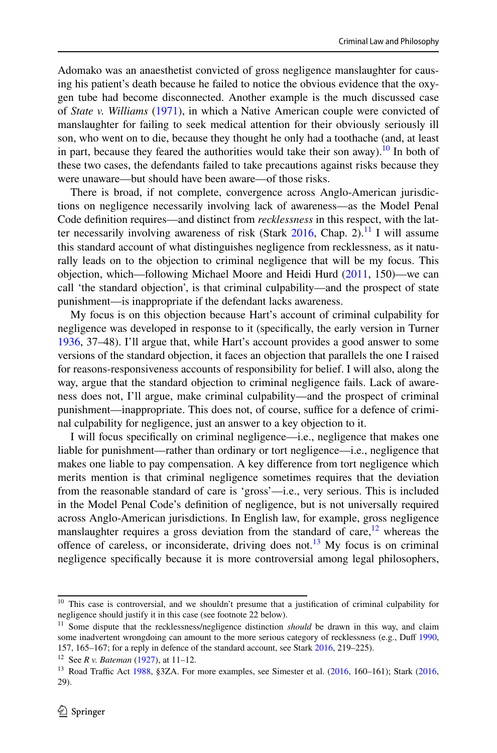Adomako was an anaesthetist convicted of gross negligence manslaughter for causing his patient's death because he failed to notice the obvious evidence that the oxygen tube had become disconnected. Another example is the much discussed case of *State v. Williams* ([1971\)](#page-20-17), in which a Native American couple were convicted of manslaughter for failing to seek medical attention for their obviously seriously ill son, who went on to die, because they thought he only had a toothache (and, at least in part, because they feared the authorities would take their son away).<sup>10</sup> In both of these two cases, the defendants failed to take precautions against risks because they were unaware—but should have been aware—of those risks.

There is broad, if not complete, convergence across Anglo-American jurisdictions on negligence necessarily involving lack of awareness—as the Model Penal Code defnition requires—and distinct from *recklessness* in this respect, with the latter necessarily involving awareness of risk (Stark  $2016$ , Chap. 2).<sup>11</sup> I will assume this standard account of what distinguishes negligence from recklessness, as it naturally leads on to the objection to criminal negligence that will be my focus. This objection, which—following Michael Moore and Heidi Hurd ([2011,](#page-20-19) 150)—we can call 'the standard objection', is that criminal culpability—and the prospect of state punishment—is inappropriate if the defendant lacks awareness.

My focus is on this objection because Hart's account of criminal culpability for negligence was developed in response to it (specifcally, the early version in Turner [1936](#page-20-20), 37–48). I'll argue that, while Hart's account provides a good answer to some versions of the standard objection, it faces an objection that parallels the one I raised for reasons-responsiveness accounts of responsibility for belief. I will also, along the way, argue that the standard objection to criminal negligence fails. Lack of awareness does not, I'll argue, make criminal culpability—and the prospect of criminal punishment—inappropriate. This does not, of course, suffice for a defence of criminal culpability for negligence, just an answer to a key objection to it.

I will focus specifcally on criminal negligence—i.e., negligence that makes one liable for punishment—rather than ordinary or tort negligence—i.e., negligence that makes one liable to pay compensation. A key diference from tort negligence which merits mention is that criminal negligence sometimes requires that the deviation from the reasonable standard of care is 'gross'—i.e., very serious. This is included in the Model Penal Code's defnition of negligence, but is not universally required across Anglo-American jurisdictions. In English law, for example, gross negligence manslaughter requires a gross deviation from the standard of care,  $12$  whereas the offence of careless, or inconsiderate, driving does not.<sup>13</sup> My focus is on criminal negligence specifcally because it is more controversial among legal philosophers,

<span id="page-7-0"></span> $10$  This case is controversial, and we shouldn't presume that a justification of criminal culpability for negligence should justify it in this case (see footnote 22 below).

<span id="page-7-1"></span><sup>&</sup>lt;sup>11</sup> Some dispute that the recklessness/negligence distinction *should* be drawn in this way, and claim some inadvertent wrongdoing can amount to the more serious category of recklessness (e.g., Duff [1990](#page-19-12), 157, 165–167; for a reply in defence of the standard account, see Stark [2016](#page-20-18), 219–225).

<span id="page-7-2"></span><sup>12</sup> See *R v. Bateman* [\(1927](#page-20-21)), at 11–12.

<span id="page-7-3"></span><sup>&</sup>lt;sup>13</sup> Road Traffic Act [1988](#page-20-22), §3ZA. For more examples, see Simester et al.  $(2016, 160-161)$  $(2016, 160-161)$ ; Stark  $(2016,$ 29).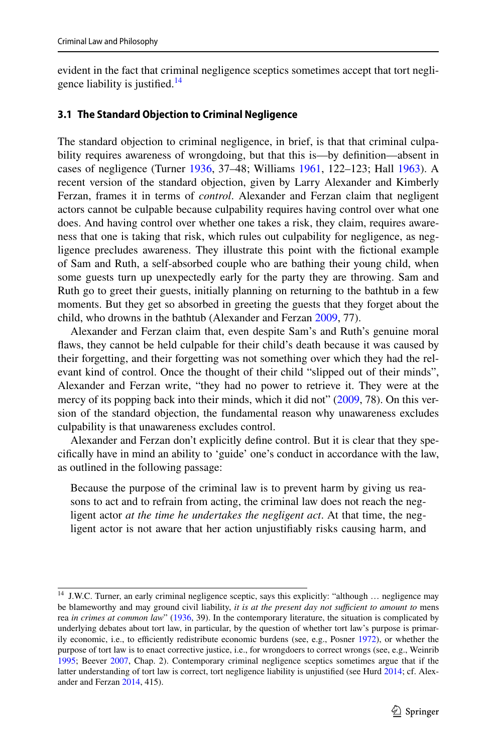evident in the fact that criminal negligence sceptics sometimes accept that tort negli-gence liability is justified.<sup>[14](#page-8-0)</sup>

#### **3.1 The Standard Objection to Criminal Negligence**

The standard objection to criminal negligence, in brief, is that that criminal culpability requires awareness of wrongdoing, but that this is—by defnition—absent in cases of negligence (Turner [1936](#page-20-20), 37–48; Williams [1961](#page-20-24), 122–123; Hall [1963\)](#page-19-13). A recent version of the standard objection, given by Larry Alexander and Kimberly Ferzan, frames it in terms of *control*. Alexander and Ferzan claim that negligent actors cannot be culpable because culpability requires having control over what one does. And having control over whether one takes a risk, they claim, requires awareness that one is taking that risk, which rules out culpability for negligence, as negligence precludes awareness. They illustrate this point with the fctional example of Sam and Ruth, a self-absorbed couple who are bathing their young child, when some guests turn up unexpectedly early for the party they are throwing. Sam and Ruth go to greet their guests, initially planning on returning to the bathtub in a few moments. But they get so absorbed in greeting the guests that they forget about the child, who drowns in the bathtub (Alexander and Ferzan [2009,](#page-19-14) 77).

Alexander and Ferzan claim that, even despite Sam's and Ruth's genuine moral faws, they cannot be held culpable for their child's death because it was caused by their forgetting, and their forgetting was not something over which they had the relevant kind of control. Once the thought of their child "slipped out of their minds", Alexander and Ferzan write, "they had no power to retrieve it. They were at the mercy of its popping back into their minds, which it did not" [\(2009](#page-19-14), 78). On this version of the standard objection, the fundamental reason why unawareness excludes culpability is that unawareness excludes control.

Alexander and Ferzan don't explicitly defne control. But it is clear that they specifcally have in mind an ability to 'guide' one's conduct in accordance with the law, as outlined in the following passage:

Because the purpose of the criminal law is to prevent harm by giving us reasons to act and to refrain from acting, the criminal law does not reach the negligent actor *at the time he undertakes the negligent act*. At that time, the negligent actor is not aware that her action unjustifably risks causing harm, and

<span id="page-8-0"></span><sup>14</sup> J.W.C. Turner, an early criminal negligence sceptic, says this explicitly: "although … negligence may be blameworthy and may ground civil liability, *it is at the present day not sufcient to amount to* mens rea *in crimes at common law*" [\(1936](#page-20-20), 39). In the contemporary literature, the situation is complicated by underlying debates about tort law, in particular, by the question of whether tort law's purpose is primar-ily economic, i.e., to efficiently redistribute economic burdens (see, e.g., Posner [1972\)](#page-20-25), or whether the purpose of tort law is to enact corrective justice, i.e., for wrongdoers to correct wrongs (see, e.g., Weinrib [1995](#page-20-26); Beever [2007,](#page-19-15) Chap. 2). Contemporary criminal negligence sceptics sometimes argue that if the latter understanding of tort law is correct, tort negligence liability is unjustifed (see Hurd [2014;](#page-20-27) cf. Alexander and Ferzan [2014](#page-19-16), 415).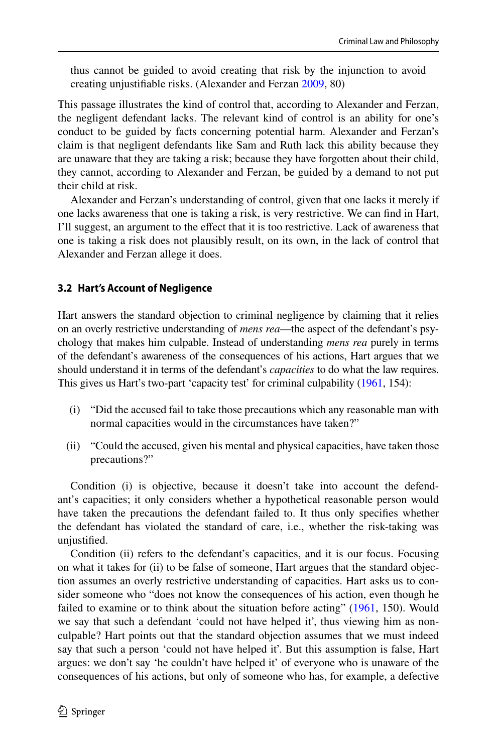thus cannot be guided to avoid creating that risk by the injunction to avoid creating unjustifable risks. (Alexander and Ferzan [2009,](#page-19-14) 80)

This passage illustrates the kind of control that, according to Alexander and Ferzan, the negligent defendant lacks. The relevant kind of control is an ability for one's conduct to be guided by facts concerning potential harm. Alexander and Ferzan's claim is that negligent defendants like Sam and Ruth lack this ability because they are unaware that they are taking a risk; because they have forgotten about their child, they cannot, according to Alexander and Ferzan, be guided by a demand to not put their child at risk.

Alexander and Ferzan's understanding of control, given that one lacks it merely if one lacks awareness that one is taking a risk, is very restrictive. We can fnd in Hart, I'll suggest, an argument to the efect that it is too restrictive. Lack of awareness that one is taking a risk does not plausibly result, on its own, in the lack of control that Alexander and Ferzan allege it does.

## **3.2 Hart's Account of Negligence**

Hart answers the standard objection to criminal negligence by claiming that it relies on an overly restrictive understanding of *mens rea*—the aspect of the defendant's psychology that makes him culpable. Instead of understanding *mens rea* purely in terms of the defendant's awareness of the consequences of his actions, Hart argues that we should understand it in terms of the defendant's *capacities* to do what the law requires. This gives us Hart's two-part 'capacity test' for criminal culpability [\(1961,](#page-19-17) 154):

- (i) "Did the accused fail to take those precautions which any reasonable man with normal capacities would in the circumstances have taken?"
- (ii) "Could the accused, given his mental and physical capacities, have taken those precautions?"

Condition (i) is objective, because it doesn't take into account the defendant's capacities; it only considers whether a hypothetical reasonable person would have taken the precautions the defendant failed to. It thus only specifes whether the defendant has violated the standard of care, i.e., whether the risk-taking was unjustifed.

Condition (ii) refers to the defendant's capacities, and it is our focus. Focusing on what it takes for (ii) to be false of someone, Hart argues that the standard objection assumes an overly restrictive understanding of capacities. Hart asks us to consider someone who "does not know the consequences of his action, even though he failed to examine or to think about the situation before acting" [\(1961](#page-19-17), 150). Would we say that such a defendant 'could not have helped it', thus viewing him as nonculpable? Hart points out that the standard objection assumes that we must indeed say that such a person 'could not have helped it'. But this assumption is false, Hart argues: we don't say 'he couldn't have helped it' of everyone who is unaware of the consequences of his actions, but only of someone who has, for example, a defective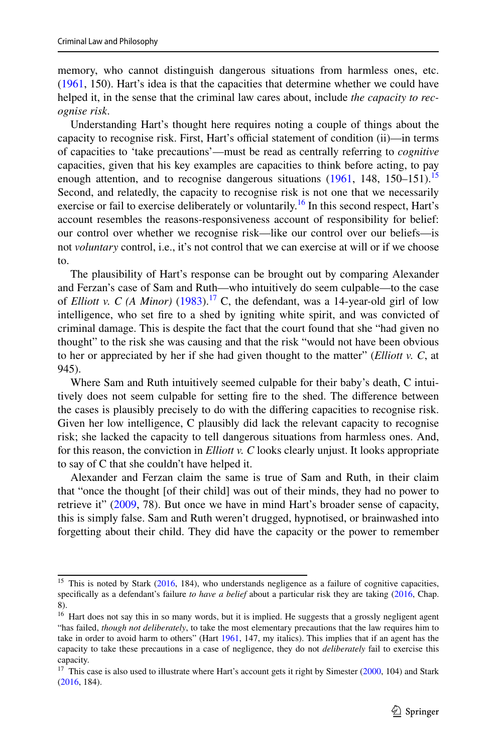memory, who cannot distinguish dangerous situations from harmless ones, etc. [\(1961](#page-19-17), 150). Hart's idea is that the capacities that determine whether we could have helped it, in the sense that the criminal law cares about, include *the capacity to recognise risk*.

Understanding Hart's thought here requires noting a couple of things about the capacity to recognise risk. First, Hart's official statement of condition  $(ii)$ —in terms of capacities to 'take precautions'—must be read as centrally referring to *cognitive* capacities, given that his key examples are capacities to think before acting, to pay enough attention, and to recognise dangerous situations  $(1961, 148, 150-151)$  $(1961, 148, 150-151)$  $(1961, 148, 150-151)$ .<sup>15</sup> Second, and relatedly, the capacity to recognise risk is not one that we necessarily exercise or fail to exercise deliberately or voluntarily.<sup>[16](#page-10-1)</sup> In this second respect, Hart's account resembles the reasons-responsiveness account of responsibility for belief: our control over whether we recognise risk—like our control over our beliefs—is not *voluntary* control, i.e., it's not control that we can exercise at will or if we choose to.

The plausibility of Hart's response can be brought out by comparing Alexander and Ferzan's case of Sam and Ruth—who intuitively do seem culpable—to the case of *Elliott v. C (A Minor)* [\(1983](#page-19-18)).<sup>17</sup> C, the defendant, was a 14-year-old girl of low intelligence, who set fre to a shed by igniting white spirit, and was convicted of criminal damage. This is despite the fact that the court found that she "had given no thought" to the risk she was causing and that the risk "would not have been obvious to her or appreciated by her if she had given thought to the matter" (*Elliott v. C*, at 945).

Where Sam and Ruth intuitively seemed culpable for their baby's death, C intuitively does not seem culpable for setting fre to the shed. The diference between the cases is plausibly precisely to do with the difering capacities to recognise risk. Given her low intelligence, C plausibly did lack the relevant capacity to recognise risk; she lacked the capacity to tell dangerous situations from harmless ones. And, for this reason, the conviction in *Elliott v. C* looks clearly unjust. It looks appropriate to say of C that she couldn't have helped it.

Alexander and Ferzan claim the same is true of Sam and Ruth, in their claim that "once the thought [of their child] was out of their minds, they had no power to retrieve it" ([2009,](#page-19-14) 78). But once we have in mind Hart's broader sense of capacity, this is simply false. Sam and Ruth weren't drugged, hypnotised, or brainwashed into forgetting about their child. They did have the capacity or the power to remember

<span id="page-10-0"></span><sup>&</sup>lt;sup>15</sup> This is noted by Stark ([2016,](#page-20-18) 184), who understands negligence as a failure of cognitive capacities, specifcally as a defendant's failure *to have a belief* about a particular risk they are taking ([2016,](#page-20-18) Chap. 8).

<span id="page-10-1"></span><sup>&</sup>lt;sup>16</sup> Hart does not say this in so many words, but it is implied. He suggests that a grossly negligent agent "has failed, *though not deliberately*, to take the most elementary precautions that the law requires him to take in order to avoid harm to others" (Hart [1961,](#page-19-17) 147, my italics). This implies that if an agent has the capacity to take these precautions in a case of negligence, they do not *deliberately* fail to exercise this capacity.

<span id="page-10-2"></span><sup>&</sup>lt;sup>17</sup> This case is also used to illustrate where Hart's account gets it right by Simester [\(2000](#page-20-28), 104) and Stark ([2016,](#page-20-18) 184).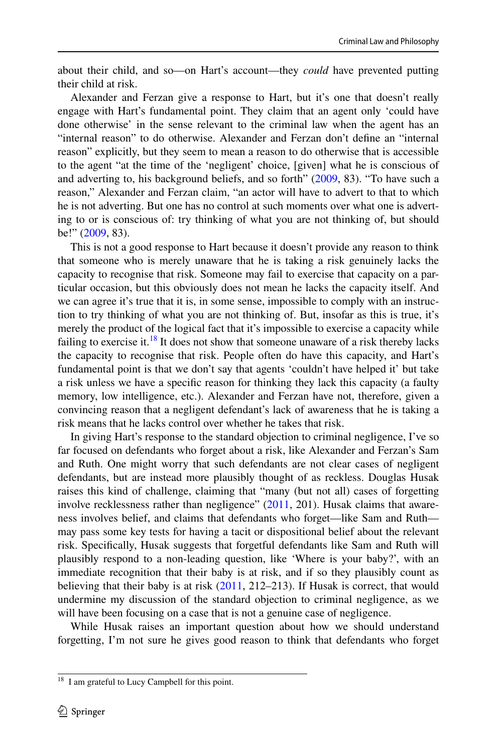about their child, and so—on Hart's account—they *could* have prevented putting their child at risk.

Alexander and Ferzan give a response to Hart, but it's one that doesn't really engage with Hart's fundamental point. They claim that an agent only 'could have done otherwise' in the sense relevant to the criminal law when the agent has an "internal reason" to do otherwise. Alexander and Ferzan don't defne an "internal reason" explicitly, but they seem to mean a reason to do otherwise that is accessible to the agent "at the time of the 'negligent' choice, [given] what he is conscious of and adverting to, his background beliefs, and so forth" ([2009,](#page-19-14) 83). "To have such a reason," Alexander and Ferzan claim, "an actor will have to advert to that to which he is not adverting. But one has no control at such moments over what one is adverting to or is conscious of: try thinking of what you are not thinking of, but should be!" [\(2009](#page-19-14), 83).

This is not a good response to Hart because it doesn't provide any reason to think that someone who is merely unaware that he is taking a risk genuinely lacks the capacity to recognise that risk. Someone may fail to exercise that capacity on a particular occasion, but this obviously does not mean he lacks the capacity itself. And we can agree it's true that it is, in some sense, impossible to comply with an instruction to try thinking of what you are not thinking of. But, insofar as this is true, it's merely the product of the logical fact that it's impossible to exercise a capacity while failing to exercise it.<sup>18</sup> It does not show that someone unaware of a risk thereby lacks the capacity to recognise that risk. People often do have this capacity, and Hart's fundamental point is that we don't say that agents 'couldn't have helped it' but take a risk unless we have a specifc reason for thinking they lack this capacity (a faulty memory, low intelligence, etc.). Alexander and Ferzan have not, therefore, given a convincing reason that a negligent defendant's lack of awareness that he is taking a risk means that he lacks control over whether he takes that risk.

In giving Hart's response to the standard objection to criminal negligence, I've so far focused on defendants who forget about a risk, like Alexander and Ferzan's Sam and Ruth. One might worry that such defendants are not clear cases of negligent defendants, but are instead more plausibly thought of as reckless. Douglas Husak raises this kind of challenge, claiming that "many (but not all) cases of forgetting involve recklessness rather than negligence" [\(2011](#page-20-29), 201). Husak claims that awareness involves belief, and claims that defendants who forget—like Sam and Ruth may pass some key tests for having a tacit or dispositional belief about the relevant risk. Specifcally, Husak suggests that forgetful defendants like Sam and Ruth will plausibly respond to a non-leading question, like 'Where is your baby?', with an immediate recognition that their baby is at risk, and if so they plausibly count as believing that their baby is at risk ([2011,](#page-20-29) 212–213). If Husak is correct, that would undermine my discussion of the standard objection to criminal negligence, as we will have been focusing on a case that is not a genuine case of negligence.

While Husak raises an important question about how we should understand forgetting, I'm not sure he gives good reason to think that defendants who forget

<span id="page-11-0"></span><sup>&</sup>lt;sup>18</sup> I am grateful to Lucy Campbell for this point.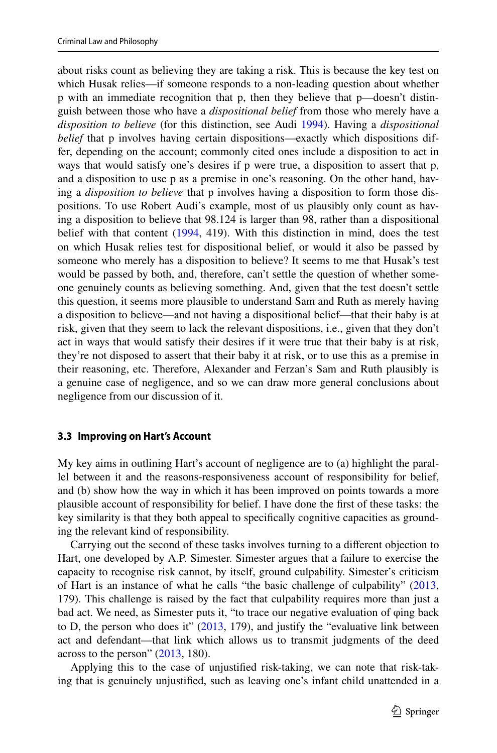about risks count as believing they are taking a risk. This is because the key test on which Husak relies—if someone responds to a non-leading question about whether p with an immediate recognition that p, then they believe that p—doesn't distinguish between those who have a *dispositional belief* from those who merely have a *disposition to believe* (for this distinction, see Audi [1994](#page-19-19)). Having a *dispositional belief* that p involves having certain dispositions—exactly which dispositions differ, depending on the account; commonly cited ones include a disposition to act in ways that would satisfy one's desires if p were true, a disposition to assert that p, and a disposition to use p as a premise in one's reasoning. On the other hand, having a *disposition to believe* that p involves having a disposition to form those dispositions. To use Robert Audi's example, most of us plausibly only count as having a disposition to believe that 98.124 is larger than 98, rather than a dispositional belief with that content ([1994,](#page-19-19) 419). With this distinction in mind, does the test on which Husak relies test for dispositional belief, or would it also be passed by someone who merely has a disposition to believe? It seems to me that Husak's test would be passed by both, and, therefore, can't settle the question of whether someone genuinely counts as believing something. And, given that the test doesn't settle this question, it seems more plausible to understand Sam and Ruth as merely having a disposition to believe—and not having a dispositional belief—that their baby is at risk, given that they seem to lack the relevant dispositions, i.e., given that they don't act in ways that would satisfy their desires if it were true that their baby is at risk, they're not disposed to assert that their baby it at risk, or to use this as a premise in their reasoning, etc. Therefore, Alexander and Ferzan's Sam and Ruth plausibly is a genuine case of negligence, and so we can draw more general conclusions about negligence from our discussion of it.

#### **3.3 Improving on Hart's Account**

My key aims in outlining Hart's account of negligence are to (a) highlight the parallel between it and the reasons-responsiveness account of responsibility for belief, and (b) show how the way in which it has been improved on points towards a more plausible account of responsibility for belief. I have done the frst of these tasks: the key similarity is that they both appeal to specifcally cognitive capacities as grounding the relevant kind of responsibility.

Carrying out the second of these tasks involves turning to a diferent objection to Hart, one developed by A.P. Simester. Simester argues that a failure to exercise the capacity to recognise risk cannot, by itself, ground culpability. Simester's criticism of Hart is an instance of what he calls "the basic challenge of culpability" ([2013,](#page-20-30) 179). This challenge is raised by the fact that culpability requires more than just a bad act. We need, as Simester puts it, "to trace our negative evaluation of φing back to D, the person who does it" ([2013,](#page-20-30) 179), and justify the "evaluative link between act and defendant—that link which allows us to transmit judgments of the deed across to the person" [\(2013](#page-20-30), 180).

Applying this to the case of unjustifed risk-taking, we can note that risk-taking that is genuinely unjustifed, such as leaving one's infant child unattended in a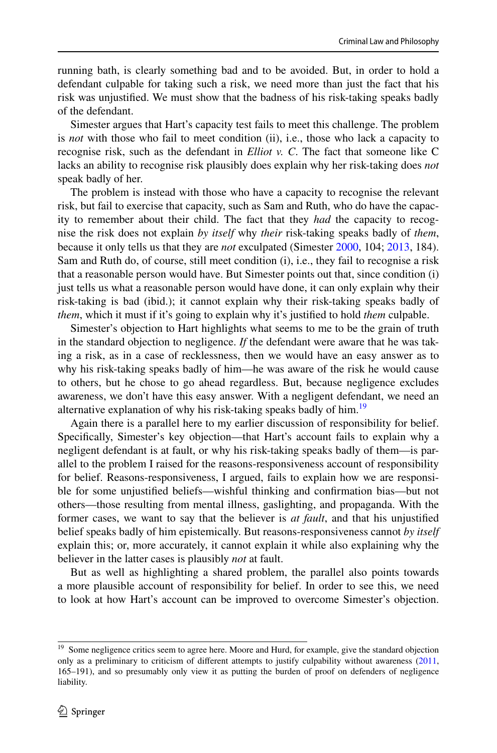running bath, is clearly something bad and to be avoided. But, in order to hold a defendant culpable for taking such a risk, we need more than just the fact that his risk was unjustifed. We must show that the badness of his risk-taking speaks badly of the defendant.

Simester argues that Hart's capacity test fails to meet this challenge. The problem is *not* with those who fail to meet condition (ii), i.e., those who lack a capacity to recognise risk, such as the defendant in *Elliot v. C*. The fact that someone like C lacks an ability to recognise risk plausibly does explain why her risk-taking does *not* speak badly of her.

The problem is instead with those who have a capacity to recognise the relevant risk, but fail to exercise that capacity, such as Sam and Ruth, who do have the capacity to remember about their child. The fact that they *had* the capacity to recognise the risk does not explain *by itself* why *their* risk-taking speaks badly of *them*, because it only tells us that they are *not* exculpated (Simester [2000](#page-20-28), 104; [2013,](#page-20-30) 184). Sam and Ruth do, of course, still meet condition (i), i.e., they fail to recognise a risk that a reasonable person would have. But Simester points out that, since condition (i) just tells us what a reasonable person would have done, it can only explain why their risk-taking is bad (ibid.); it cannot explain why their risk-taking speaks badly of *them*, which it must if it's going to explain why it's justifed to hold *them* culpable.

Simester's objection to Hart highlights what seems to me to be the grain of truth in the standard objection to negligence. *If* the defendant were aware that he was taking a risk, as in a case of recklessness, then we would have an easy answer as to why his risk-taking speaks badly of him—he was aware of the risk he would cause to others, but he chose to go ahead regardless. But, because negligence excludes awareness, we don't have this easy answer. With a negligent defendant, we need an alternative explanation of why his risk-taking speaks badly of him.<sup>19</sup>

Again there is a parallel here to my earlier discussion of responsibility for belief. Specifcally, Simester's key objection—that Hart's account fails to explain why a negligent defendant is at fault, or why his risk-taking speaks badly of them—is parallel to the problem I raised for the reasons-responsiveness account of responsibility for belief. Reasons-responsiveness, I argued, fails to explain how we are responsible for some unjustifed beliefs—wishful thinking and confrmation bias—but not others—those resulting from mental illness, gaslighting, and propaganda. With the former cases, we want to say that the believer is *at fault*, and that his unjustifed belief speaks badly of him epistemically. But reasons-responsiveness cannot *by itself* explain this; or, more accurately, it cannot explain it while also explaining why the believer in the latter cases is plausibly *not* at fault.

But as well as highlighting a shared problem, the parallel also points towards a more plausible account of responsibility for belief. In order to see this, we need to look at how Hart's account can be improved to overcome Simester's objection.

<span id="page-13-0"></span><sup>&</sup>lt;sup>19</sup> Some negligence critics seem to agree here. Moore and Hurd, for example, give the standard objection only as a preliminary to criticism of diferent attempts to justify culpability without awareness [\(2011](#page-20-19), 165–191), and so presumably only view it as putting the burden of proof on defenders of negligence liability.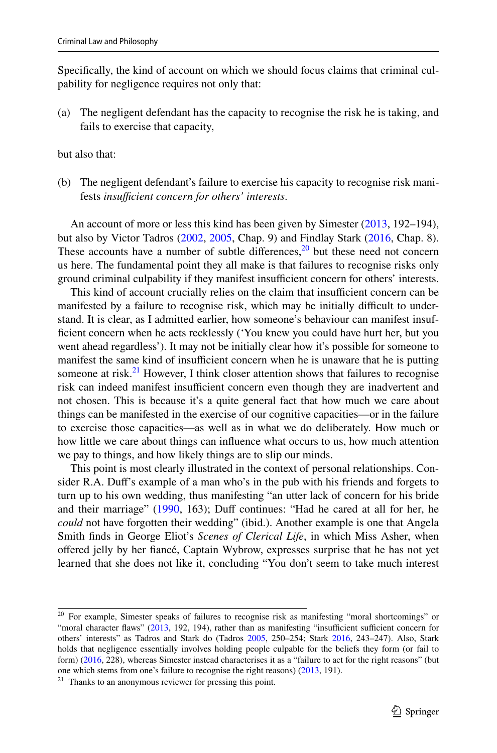Specifcally, the kind of account on which we should focus claims that criminal culpability for negligence requires not only that:

(a) The negligent defendant has the capacity to recognise the risk he is taking, and fails to exercise that capacity,

but also that:

(b) The negligent defendant's failure to exercise his capacity to recognise risk manifests *insufficient concern for others' interests*.

An account of more or less this kind has been given by Simester ([2013,](#page-20-30) 192–194), but also by Victor Tadros ([2002,](#page-20-31) [2005](#page-20-32), Chap. 9) and Findlay Stark ([2016,](#page-20-18) Chap. 8). These accounts have a number of subtle differences, $2<sup>0</sup>$  but these need not concern us here. The fundamental point they all make is that failures to recognise risks only ground criminal culpability if they manifest insufficient concern for others' interests.

This kind of account crucially relies on the claim that insufficient concern can be manifested by a failure to recognise risk, which may be initially difficult to understand. It is clear, as I admitted earlier, how someone's behaviour can manifest insuffcient concern when he acts recklessly ('You knew you could have hurt her, but you went ahead regardless'). It may not be initially clear how it's possible for someone to manifest the same kind of insufficient concern when he is unaware that he is putting someone at risk.<sup>21</sup> However, I think closer attention shows that failures to recognise risk can indeed manifest insufficient concern even though they are inadvertent and not chosen. This is because it's a quite general fact that how much we care about things can be manifested in the exercise of our cognitive capacities—or in the failure to exercise those capacities—as well as in what we do deliberately. How much or how little we care about things can infuence what occurs to us, how much attention we pay to things, and how likely things are to slip our minds.

This point is most clearly illustrated in the context of personal relationships. Consider R.A. Duf's example of a man who's in the pub with his friends and forgets to turn up to his own wedding, thus manifesting "an utter lack of concern for his bride and their marriage" ([1990,](#page-19-12) 163); Duf continues: "Had he cared at all for her, he *could* not have forgotten their wedding" (ibid.). Another example is one that Angela Smith fnds in George Eliot's *Scenes of Clerical Life*, in which Miss Asher, when ofered jelly by her fancé, Captain Wybrow, expresses surprise that he has not yet learned that she does not like it, concluding "You don't seem to take much interest

<span id="page-14-0"></span><sup>&</sup>lt;sup>20</sup> For example, Simester speaks of failures to recognise risk as manifesting "moral shortcomings" or "moral character flaws" [\(2013](#page-20-30), 192, 194), rather than as manifesting "insufficient sufficient concern for others' interests" as Tadros and Stark do (Tadros [2005,](#page-20-32) 250–254; Stark [2016,](#page-20-18) 243–247). Also, Stark holds that negligence essentially involves holding people culpable for the beliefs they form (or fail to form) ([2016,](#page-20-18) 228), whereas Simester instead characterises it as a "failure to act for the right reasons" (but one which stems from one's failure to recognise the right reasons) [\(2013](#page-20-30), 191).

<span id="page-14-1"></span> $21$  Thanks to an anonymous reviewer for pressing this point.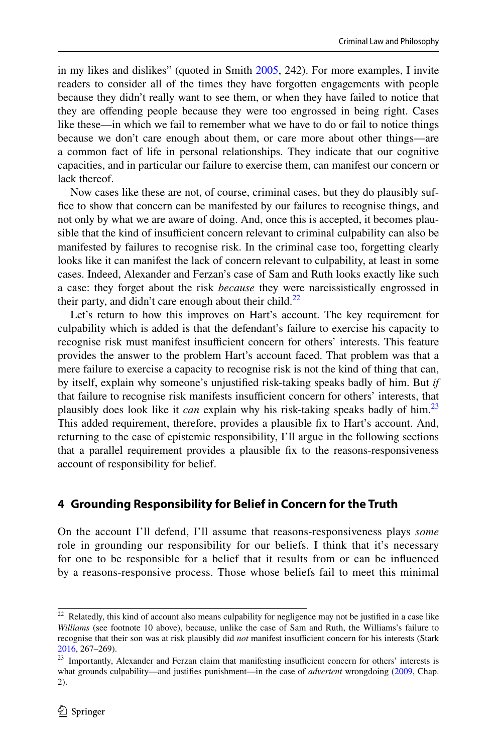in my likes and dislikes" (quoted in Smith [2005](#page-20-12), 242). For more examples, I invite readers to consider all of the times they have forgotten engagements with people because they didn't really want to see them, or when they have failed to notice that they are ofending people because they were too engrossed in being right. Cases like these—in which we fail to remember what we have to do or fail to notice things because we don't care enough about them, or care more about other things—are a common fact of life in personal relationships. They indicate that our cognitive capacities, and in particular our failure to exercise them, can manifest our concern or lack thereof.

Now cases like these are not, of course, criminal cases, but they do plausibly suffice to show that concern can be manifested by our failures to recognise things, and not only by what we are aware of doing. And, once this is accepted, it becomes plausible that the kind of insufficient concern relevant to criminal culpability can also be manifested by failures to recognise risk. In the criminal case too, forgetting clearly looks like it can manifest the lack of concern relevant to culpability, at least in some cases. Indeed, Alexander and Ferzan's case of Sam and Ruth looks exactly like such a case: they forget about the risk *because* they were narcissistically engrossed in their party, and didn't care enough about their child. $^{22}$  $^{22}$  $^{22}$ 

Let's return to how this improves on Hart's account. The key requirement for culpability which is added is that the defendant's failure to exercise his capacity to recognise risk must manifest insufficient concern for others' interests. This feature provides the answer to the problem Hart's account faced. That problem was that a mere failure to exercise a capacity to recognise risk is not the kind of thing that can, by itself, explain why someone's unjustifed risk-taking speaks badly of him. But *if* that failure to recognise risk manifests insufficient concern for others' interests, that plausibly does look like it *can* explain why his risk-taking speaks badly of him.[23](#page-15-2) This added requirement, therefore, provides a plausible fx to Hart's account. And, returning to the case of epistemic responsibility, I'll argue in the following sections that a parallel requirement provides a plausible fx to the reasons-responsiveness account of responsibility for belief.

## <span id="page-15-0"></span>**4 Grounding Responsibility for Belief in Concern for the Truth**

On the account I'll defend, I'll assume that reasons-responsiveness plays *some* role in grounding our responsibility for our beliefs. I think that it's necessary for one to be responsible for a belief that it results from or can be infuenced by a reasons-responsive process. Those whose beliefs fail to meet this minimal

<span id="page-15-1"></span> $22$  Relatedly, this kind of account also means culpability for negligence may not be justified in a case like *Williams* (see footnote 10 above), because, unlike the case of Sam and Ruth, the Williams's failure to recognise that their son was at risk plausibly did *not* manifest insufficient concern for his interests (Stark [2016](#page-20-18), 267–269).

<span id="page-15-2"></span><sup>&</sup>lt;sup>23</sup> Importantly, Alexander and Ferzan claim that manifesting insufficient concern for others' interests is what grounds culpability—and justifes punishment—in the case of *advertent* wrongdoing ([2009,](#page-19-14) Chap. 2).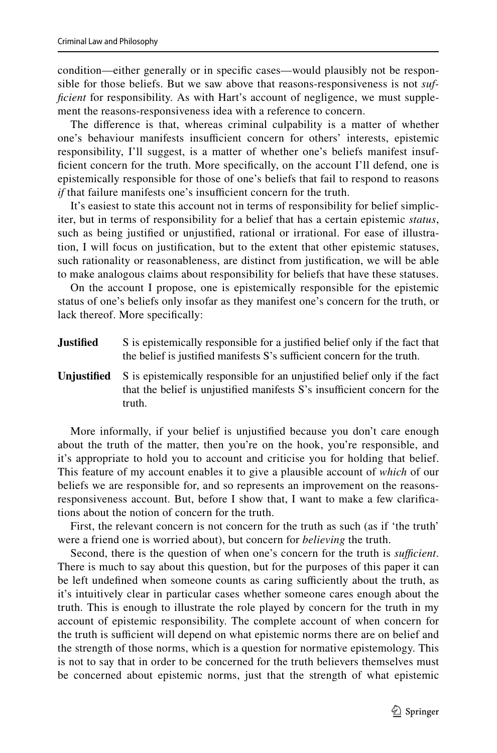condition—either generally or in specifc cases—would plausibly not be responsible for those beliefs. But we saw above that reasons-responsiveness is not *sufficient* for responsibility. As with Hart's account of negligence, we must supplement the reasons-responsiveness idea with a reference to concern.

The diference is that, whereas criminal culpability is a matter of whether one's behaviour manifests insufficient concern for others' interests, epistemic responsibility, I'll suggest, is a matter of whether one's beliefs manifest insufficient concern for the truth. More specifically, on the account I'll defend, one is epistemically responsible for those of one's beliefs that fail to respond to reasons *if* that failure manifests one's insufficient concern for the truth.

It's easiest to state this account not in terms of responsibility for belief simpliciter, but in terms of responsibility for a belief that has a certain epistemic *status*, such as being justifed or unjustifed, rational or irrational. For ease of illustration, I will focus on justifcation, but to the extent that other epistemic statuses, such rationality or reasonableness, are distinct from justifcation, we will be able to make analogous claims about responsibility for beliefs that have these statuses.

On the account I propose, one is epistemically responsible for the epistemic status of one's beliefs only insofar as they manifest one's concern for the truth, or lack thereof. More specifically:

- **Justified** S is epistemically responsible for a justified belief only if the fact that the belief is justified manifests S's sufficient concern for the truth.
- **Unjustifed** S is epistemically responsible for an unjustifed belief only if the fact that the belief is unjustified manifests  $S$ 's insufficient concern for the truth.

More informally, if your belief is unjustifed because you don't care enough about the truth of the matter, then you're on the hook, you're responsible, and it's appropriate to hold you to account and criticise you for holding that belief. This feature of my account enables it to give a plausible account of *which* of our beliefs we are responsible for, and so represents an improvement on the reasonsresponsiveness account. But, before I show that, I want to make a few clarifcations about the notion of concern for the truth.

First, the relevant concern is not concern for the truth as such (as if 'the truth' were a friend one is worried about), but concern for *believing* the truth.

Second, there is the question of when one's concern for the truth is *sufficient*. There is much to say about this question, but for the purposes of this paper it can be left undefined when someone counts as caring sufficiently about the truth, as it's intuitively clear in particular cases whether someone cares enough about the truth. This is enough to illustrate the role played by concern for the truth in my account of epistemic responsibility. The complete account of when concern for the truth is sufficient will depend on what epistemic norms there are on belief and the strength of those norms, which is a question for normative epistemology. This is not to say that in order to be concerned for the truth believers themselves must be concerned about epistemic norms, just that the strength of what epistemic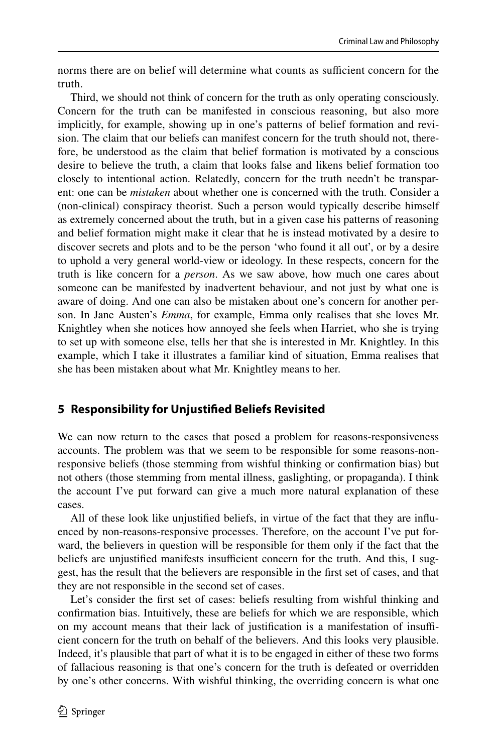norms there are on belief will determine what counts as sufficient concern for the truth.

Third, we should not think of concern for the truth as only operating consciously. Concern for the truth can be manifested in conscious reasoning, but also more implicitly, for example, showing up in one's patterns of belief formation and revision. The claim that our beliefs can manifest concern for the truth should not, therefore, be understood as the claim that belief formation is motivated by a conscious desire to believe the truth, a claim that looks false and likens belief formation too closely to intentional action. Relatedly, concern for the truth needn't be transparent: one can be *mistaken* about whether one is concerned with the truth. Consider a (non-clinical) conspiracy theorist. Such a person would typically describe himself as extremely concerned about the truth, but in a given case his patterns of reasoning and belief formation might make it clear that he is instead motivated by a desire to discover secrets and plots and to be the person 'who found it all out', or by a desire to uphold a very general world-view or ideology. In these respects, concern for the truth is like concern for a *person*. As we saw above, how much one cares about someone can be manifested by inadvertent behaviour, and not just by what one is aware of doing. And one can also be mistaken about one's concern for another person. In Jane Austen's *Emma*, for example, Emma only realises that she loves Mr. Knightley when she notices how annoyed she feels when Harriet, who she is trying to set up with someone else, tells her that she is interested in Mr. Knightley. In this example, which I take it illustrates a familiar kind of situation, Emma realises that she has been mistaken about what Mr. Knightley means to her.

## <span id="page-17-0"></span>**5 Responsibility for Unjustifed Beliefs Revisited**

We can now return to the cases that posed a problem for reasons-responsiveness accounts. The problem was that we seem to be responsible for some reasons-nonresponsive beliefs (those stemming from wishful thinking or confrmation bias) but not others (those stemming from mental illness, gaslighting, or propaganda). I think the account I've put forward can give a much more natural explanation of these cases.

All of these look like unjustifed beliefs, in virtue of the fact that they are infuenced by non-reasons-responsive processes. Therefore, on the account I've put forward, the believers in question will be responsible for them only if the fact that the beliefs are unjustified manifests insufficient concern for the truth. And this, I suggest, has the result that the believers are responsible in the frst set of cases, and that they are not responsible in the second set of cases.

Let's consider the first set of cases: beliefs resulting from wishful thinking and confrmation bias. Intuitively, these are beliefs for which we are responsible, which on my account means that their lack of justification is a manifestation of insufficient concern for the truth on behalf of the believers. And this looks very plausible. Indeed, it's plausible that part of what it is to be engaged in either of these two forms of fallacious reasoning is that one's concern for the truth is defeated or overridden by one's other concerns. With wishful thinking, the overriding concern is what one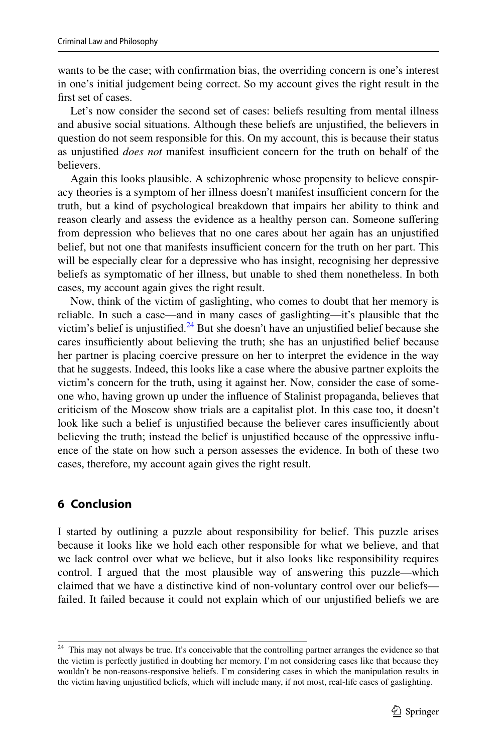wants to be the case; with confrmation bias, the overriding concern is one's interest in one's initial judgement being correct. So my account gives the right result in the frst set of cases.

Let's now consider the second set of cases: beliefs resulting from mental illness and abusive social situations. Although these beliefs are unjustifed, the believers in question do not seem responsible for this. On my account, this is because their status as unjustified *does not* manifest insufficient concern for the truth on behalf of the believers.

Again this looks plausible. A schizophrenic whose propensity to believe conspiracy theories is a symptom of her illness doesn't manifest insufficient concern for the truth, but a kind of psychological breakdown that impairs her ability to think and reason clearly and assess the evidence as a healthy person can. Someone sufering from depression who believes that no one cares about her again has an unjustifed belief, but not one that manifests insufficient concern for the truth on her part. This will be especially clear for a depressive who has insight, recognising her depressive beliefs as symptomatic of her illness, but unable to shed them nonetheless. In both cases, my account again gives the right result.

Now, think of the victim of gaslighting, who comes to doubt that her memory is reliable. In such a case—and in many cases of gaslighting—it's plausible that the victim's belief is unjustified. $^{24}$  But she doesn't have an unjustified belief because she cares insufficiently about believing the truth; she has an unjustified belief because her partner is placing coercive pressure on her to interpret the evidence in the way that he suggests. Indeed, this looks like a case where the abusive partner exploits the victim's concern for the truth, using it against her. Now, consider the case of someone who, having grown up under the infuence of Stalinist propaganda, believes that criticism of the Moscow show trials are a capitalist plot. In this case too, it doesn't look like such a belief is unjustified because the believer cares insufficiently about believing the truth; instead the belief is unjustifed because of the oppressive infuence of the state on how such a person assesses the evidence. In both of these two cases, therefore, my account again gives the right result.

## **6 Conclusion**

I started by outlining a puzzle about responsibility for belief. This puzzle arises because it looks like we hold each other responsible for what we believe, and that we lack control over what we believe, but it also looks like responsibility requires control. I argued that the most plausible way of answering this puzzle—which claimed that we have a distinctive kind of non-voluntary control over our beliefs failed. It failed because it could not explain which of our unjustifed beliefs we are

<span id="page-18-0"></span><sup>&</sup>lt;sup>24</sup> This may not always be true. It's conceivable that the controlling partner arranges the evidence so that the victim is perfectly justifed in doubting her memory. I'm not considering cases like that because they wouldn't be non-reasons-responsive beliefs. I'm considering cases in which the manipulation results in the victim having unjustifed beliefs, which will include many, if not most, real-life cases of gaslighting.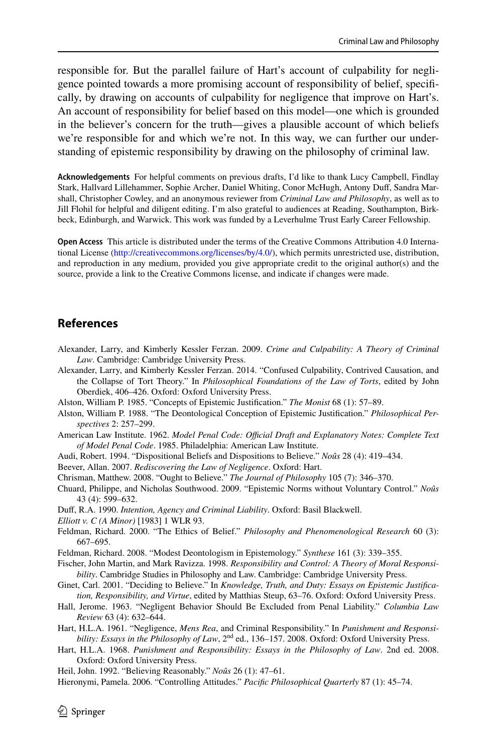responsible for. But the parallel failure of Hart's account of culpability for negligence pointed towards a more promising account of responsibility of belief, specifcally, by drawing on accounts of culpability for negligence that improve on Hart's. An account of responsibility for belief based on this model—one which is grounded in the believer's concern for the truth—gives a plausible account of which beliefs we're responsible for and which we're not. In this way, we can further our understanding of epistemic responsibility by drawing on the philosophy of criminal law.

**Acknowledgements** For helpful comments on previous drafts, I'd like to thank Lucy Campbell, Findlay Stark, Hallvard Lillehammer, Sophie Archer, Daniel Whiting, Conor McHugh, Antony Duf, Sandra Marshall, Christopher Cowley, and an anonymous reviewer from *Criminal Law and Philosophy*, as well as to Jill Flohil for helpful and diligent editing. I'm also grateful to audiences at Reading, Southampton, Birkbeck, Edinburgh, and Warwick. This work was funded by a Leverhulme Trust Early Career Fellowship.

**Open Access** This article is distributed under the terms of the Creative Commons Attribution 4.0 International License ([http://creativecommons.org/licenses/by/4.0/\)](http://creativecommons.org/licenses/by/4.0/), which permits unrestricted use, distribution, and reproduction in any medium, provided you give appropriate credit to the original author(s) and the source, provide a link to the Creative Commons license, and indicate if changes were made.

#### **References**

- <span id="page-19-14"></span>Alexander, Larry, and Kimberly Kessler Ferzan. 2009. *Crime and Culpability: A Theory of Criminal Law*. Cambridge: Cambridge University Press.
- <span id="page-19-16"></span>Alexander, Larry, and Kimberly Kessler Ferzan. 2014. "Confused Culpability, Contrived Causation, and the Collapse of Tort Theory." In *Philosophical Foundations of the Law of Torts*, edited by John Oberdiek, 406–426. Oxford: Oxford University Press.
- <span id="page-19-1"></span>Alston, William P. 1985. "Concepts of Epistemic Justifcation." *The Monist* 68 (1): 57–89.
- <span id="page-19-0"></span>Alston, William P. 1988. "The Deontological Conception of Epistemic Justifcation." *Philosophical Perspectives* 2: 257–299.
- <span id="page-19-11"></span>American Law Institute. 1962. *Model Penal Code: Official Draft and Explanatory Notes: Complete Text of Model Penal Code*. 1985. Philadelphia: American Law Institute.
- <span id="page-19-19"></span>Audi, Robert. 1994. "Dispositional Beliefs and Dispositions to Believe." *Noûs* 28 (4): 419–434.

<span id="page-19-15"></span>Beever, Allan. 2007. *Rediscovering the Law of Negligence*. Oxford: Hart.

<span id="page-19-8"></span>Chrisman, Matthew. 2008. "Ought to Believe." *The Journal of Philosophy* 105 (7): 346–370.

<span id="page-19-2"></span>Chuard, Philippe, and Nicholas Southwood. 2009. "Epistemic Norms without Voluntary Control." *Noûs* 43 (4): 599–632.

<span id="page-19-12"></span>Duf, R.A. 1990. *Intention, Agency and Criminal Liability*. Oxford: Basil Blackwell.

<span id="page-19-18"></span>*Elliott v. C (A Minor)* [1983] 1 WLR 93.

- <span id="page-19-6"></span>Feldman, Richard. 2000. "The Ethics of Belief." *Philosophy and Phenomenological Research* 60 (3): 667–695.
- <span id="page-19-7"></span>Feldman, Richard. 2008. "Modest Deontologism in Epistemology." *Synthese* 161 (3): 339–355.
- <span id="page-19-10"></span>Fischer, John Martin, and Mark Ravizza. 1998. *Responsibility and Control: A Theory of Moral Responsibility*. Cambridge Studies in Philosophy and Law. Cambridge: Cambridge University Press.
- <span id="page-19-5"></span>Ginet, Carl. 2001. "Deciding to Believe." In *Knowledge, Truth, and Duty: Essays on Epistemic Justifcation, Responsibility, and Virtue*, edited by Matthias Steup, 63–76. Oxford: Oxford University Press.
- <span id="page-19-13"></span>Hall, Jerome. 1963. "Negligent Behavior Should Be Excluded from Penal Liability." *Columbia Law Review* 63 (4): 632–644.
- <span id="page-19-17"></span>Hart, H.L.A. 1961. "Negligence, *Mens Rea*, and Criminal Responsibility." In *Punishment and Responsi*bility: Essays in the Philosophy of Law, 2<sup>nd</sup> ed., 136-157. 2008. Oxford: Oxford University Press.
- <span id="page-19-3"></span>Hart, H.L.A. 1968. *Punishment and Responsibility: Essays in the Philosophy of Law*. 2nd ed. 2008. Oxford: Oxford University Press.
- <span id="page-19-4"></span>Heil, John. 1992. "Believing Reasonably." *Noûs* 26 (1): 47–61.

<span id="page-19-9"></span>Hieronymi, Pamela. 2006. "Controlling Attitudes." *Pacifc Philosophical Quarterly* 87 (1): 45–74.